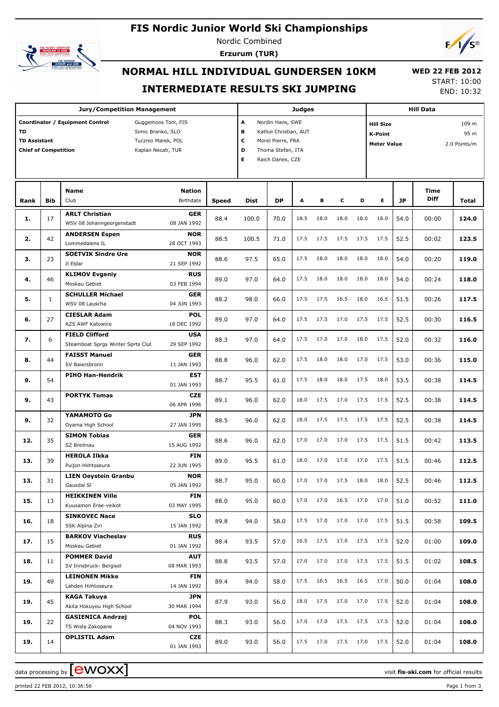# **FIS Nordic Junior World Ski Championships**



Nordic Combined **Erzurum (TUR)**



# **NORMAL HILL INDIVIDUAL GUNDERSEN 10KM INTERMEDIATE RESULTS SKI JUMPING**

 **WED 22 FEB 2012** START: 10:00 END: 10:32

|                                                                 |              | <b>Jury/Competition Management</b>                                                                                      |              |                                 |                                                                                                         | Judges |                      |      |      |                                                   |           | <b>Hill Data</b>    |                               |
|-----------------------------------------------------------------|--------------|-------------------------------------------------------------------------------------------------------------------------|--------------|---------------------------------|---------------------------------------------------------------------------------------------------------|--------|----------------------|------|------|---------------------------------------------------|-----------|---------------------|-------------------------------|
| <b>TD</b><br><b>TD Assistant</b><br><b>Chief of Competition</b> |              | Coordinator / Equipment Control<br>Guggemoos Toni, FIS<br>Simic Branko, SLO<br>Tucznio Marek, POL<br>Kaplan Necati, TUR |              | A<br>в<br>$\mathbf c$<br>D<br>E | Nordin Hans, SWE<br>Kathol Christian, AUT<br>Morel Pierre, FRA<br>Thoma Stefan, ITA<br>Raich Danes, CZE |        |                      |      |      | <b>Hill Size</b><br>K-Point<br><b>Meter Value</b> |           |                     | 109 m<br>95 m<br>2.0 Points/m |
| Rank                                                            | <b>Bib</b>   | <b>Nation</b><br><b>Name</b><br>Club<br>Birthdate                                                                       | <b>Speed</b> | Dist                            | <b>DP</b>                                                                                               | Α      | в                    | c    | D    | Е                                                 | <b>JP</b> | Time<br><b>Diff</b> | <b>Total</b>                  |
| 1.                                                              | 17           | <b>ARLT Christian</b><br><b>GER</b><br>WSV 08 Johanngeorgenstadt<br>08 JAN 1992                                         | 88.4         | 100.0                           | 70.0                                                                                                    | 18.5   | 18.0                 | 18.0 | 18.0 | 18.0                                              | 54.0      | 00:00               | 124.0                         |
| 2.                                                              | 42           | <b>ANDERSEN Espen</b><br><b>NOR</b><br>Lommedalens IL<br>28 OCT 1993                                                    | 88.5         | 100.5                           | 71.0                                                                                                    | 17.5   | 17.5                 | 17.5 | 17.5 | 17.5                                              | 52.5      | 00:02               | 123.5                         |
| 3.                                                              | 23           | <b>SOETVIK Sindre Ure</b><br><b>NOR</b><br>Il Eldar<br>21 SEP 1992                                                      | 88.6         | 97.5                            | 65.0                                                                                                    | 17.5   | 18.0                 | 18.0 | 18.0 | 18.0                                              | 54.0      | 00:20               | 119.0                         |
| 4.                                                              | 46           | <b>KLIMOV Evgeniy</b><br><b>RUS</b><br>03 FEB 1994<br>Moskau Gebiet                                                     | 89.0         | 97.0                            | 64.0                                                                                                    | 17.5   | 18.0                 | 18.0 | 18.0 | 18.0                                              | 54.0      | 00:24               | 118.0                         |
| 5.                                                              | $\mathbf{1}$ | <b>SCHULLER Michael</b><br><b>GER</b><br>WSV 08 Lauscha<br>04 JUN 1993                                                  | 88.2         | 98.0                            | 66.0                                                                                                    | 17.5   | 17.5                 | 16.5 | 18.0 | 16.5                                              | 51.5      | 00:26               | 117.5                         |
| 6.                                                              | 27           | <b>POL</b><br><b>CIESLAR Adam</b><br>AZS AWF Katowice<br>18 DEC 1992                                                    | 89.0         | 97.0                            | 64.0                                                                                                    | 17.5   | 17.5                 | 17.0 | 17.5 | 17.5                                              | 52.5      | 00:30               | 116.5                         |
| 7.                                                              | 6            | <b>FIELD Clifford</b><br><b>USA</b><br>29 SEP 1992<br>Steamboat Sprgs Winter Sprts Clut                                 | 88.3         | 97.0                            | 64.0                                                                                                    | 17.5   | 17.0                 | 17.0 | 18.0 | 17.5                                              | 52.0      | 00:32               | 116.0                         |
| 8.                                                              | 44           | <b>FAISST Manuel</b><br><b>GER</b><br>11 JAN 1993<br>SV Baiersbronn                                                     | 88.8         | 96.0                            | 62.0                                                                                                    | 17.5   | 18.0                 | 18.0 | 17.0 | 17.5                                              | 53.0      | 00:36               | 115.0                         |
| 9.                                                              | 54           | <b>PIHO Han-Hendrik</b><br><b>EST</b><br>01 JAN 1993                                                                    | 88.7         | 95.5                            | 61.0                                                                                                    | 17.5   | 18.0                 | 18.0 | 17.5 | 18.0                                              | 53.5      | 00:38               | 114.5                         |
| 9.                                                              | 43           | <b>PORTYK Tomas</b><br><b>CZE</b><br>06 APR 1996                                                                        | 89.1         | 96.0                            | 62.0                                                                                                    | 18.0   | 17.5                 | 17.0 | 17.5 | 17.5                                              | 52.5      | 00:38               | 114.5                         |
| 9.                                                              | 32           | YAMAMOTO Go<br><b>JPN</b><br>Oyama High School<br>27 JAN 1995                                                           | 88.5         | 96.0                            | 62.0                                                                                                    | 18.0   | 17.5                 | 17.5 | 17.5 | 17.5                                              | 52.5      | 00:38               | 114.5                         |
| 12.                                                             | 35           | <b>SIMON Tobias</b><br><b>GER</b><br>15 AUG 1992<br>SZ Breitnau                                                         | 88.6         | 96.0                            | 62.0                                                                                                    | 17.0   | 17.0                 | 17.0 | 17.5 | 17.5                                              | 51.5      | 00:42               | 113.5                         |
| 13.                                                             | 39           | <b>HEROLA Ilkka</b><br><b>FIN</b><br>22 JUN 1995<br>Puijon Hiihtoseura                                                  | 89.0         | 95.5                            | 61.0                                                                                                    | 18.0   | 17.0                 | 17.0 | 17.0 | 17.5                                              | 51.5      | 00:46               | 112.5                         |
| 13.                                                             | 31           | <b>NOR</b><br><b>LIEN Oeystein Granbu</b><br>Gausdal SI<br>05 JAN 1992                                                  | 88.7         | 95.0                            | 60.0                                                                                                    |        | $17.0$ $17.0$ $17.5$ |      |      | 18.0 18.0                                         | 52.5      | 00:46               | 112.5                         |
| 15.                                                             | 13           | <b>HEIKKINEN Ville</b><br><b>FIN</b><br>Kuusamon Erae-veikot<br>03 MAY 1995                                             | 88.0         | 95.0                            | 60.0                                                                                                    | 17.0   | 17.0                 | 16.5 |      | 17.0 17.0                                         | 51.0      | 00:52               | 111.0                         |
| 16.                                                             | 18           | <b>SINKOVEC Nace</b><br><b>SLO</b><br>SSK Alpina Ziri<br>15 JAN 1992                                                    | 89.8         | 94.0                            | 58.0                                                                                                    | 17.5   | 17.0                 | 17.0 | 17.0 | 17.5                                              | 51.5      | 00:58               | 109.5                         |
| 17.                                                             | 15           | <b>BARKOV Viacheslav</b><br><b>RUS</b><br>01 JAN 1992<br>Moskau Gebiet                                                  | 88.4         | 93.5                            | 57.0                                                                                                    | 16.5   | 17.5                 | 17.0 |      | 17.5 17.5                                         | 52.0      | 01:00               | 109.0                         |
| 18.                                                             | 11           | <b>POMMER David</b><br>AUT<br>08 MAR 1993<br>SV Innsbruck- Bergisel                                                     | 88.8         | 93.5                            | 57.0                                                                                                    | 17.0   | 17.0                 | 17.0 |      | 17.5 17.5                                         | 51.5      | 01:02               | 108.5                         |
| 19.                                                             | 49           | <b>LEINONEN Mikke</b><br>FIN<br>Lahden Hiihtoseura<br>14 JAN 1992                                                       | 89.4         | 94.0                            | 58.0                                                                                                    | 17.5   | 16.5                 | 16.5 | 16.5 | 17.0                                              | 50.0      | 01:04               | 108.0                         |
| 19.                                                             | 45           | <b>KAGA Takuya</b><br><b>JPN</b><br>Akita Hokuyou High School<br>30 MAR 1994                                            | 87.9         | 93.0                            | 56.0                                                                                                    | 18.0   | 17.5                 | 17.0 | 17.0 | 17.5                                              | 52.0      | 01:04               | 108.0                         |
| 19.                                                             | 22           | <b>GASIENICA Andrzej</b><br><b>POL</b><br>04 NOV 1993<br>TS Wisla Zakopane                                              | 88.3         | 93.0                            | 56.0                                                                                                    | 17.0   | 17.0                 | 17.5 | 17.5 | 17.5                                              | 52.0      | 01:04               | 108.0                         |
| 19.                                                             | 14           | <b>OPLISTIL Adam</b><br>CZE<br>01 JAN 1993                                                                              | 89.0         | 93.0                            | 56.0                                                                                                    | 17.5   | 17.0                 | 17.5 |      | 17.0 17.5                                         | 52.0      | 01:04               | 108.0                         |

printed 22 FEB 2012, 10:36:56 Page 1 from 3

data processing by **CWOXX**  $\blacksquare$  and  $\blacksquare$  and  $\blacksquare$  and  $\blacksquare$  and  $\blacksquare$  and  $\blacksquare$  and  $\blacksquare$  and  $\blacksquare$  and  $\blacksquare$  and  $\blacksquare$  and  $\blacksquare$  and  $\blacksquare$  and  $\blacksquare$  and  $\blacksquare$  and  $\blacksquare$  and  $\blacksquare$  and  $\blacksquare$  and  $\blacksquare$  a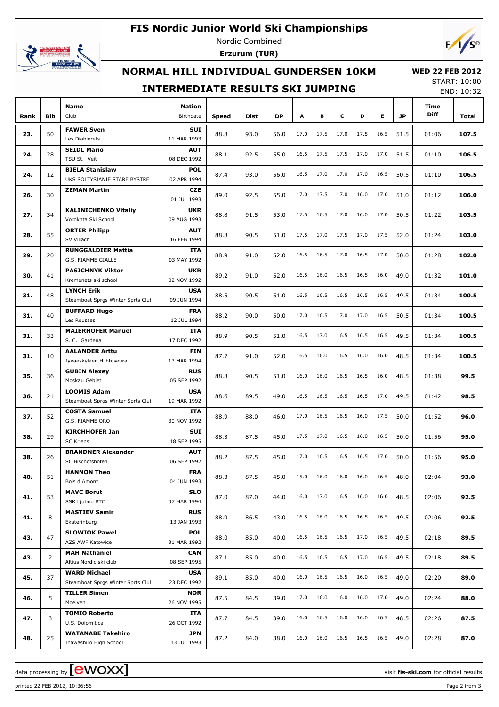# **FIS Nordic Junior World Ski Championships**



Nordic Combined **Erzurum (TUR)**



## **NORMAL HILL INDIVIDUAL GUNDERSEN 10KM**

#### **WED 22 FEB 2012** START: 10:00

### **INTERMEDIATE RESULTS SKI JUMPING**

END: 10:32

| Rank | <b>Bib</b>     | <b>Name</b><br>Club                  | Nation<br>Birthdate       | <b>Speed</b> | Dist | <b>DP</b> | A    | в    | c    | D    | E.   | <b>JP</b> | Time<br>Diff                                                                                                                                                                                                | Total |
|------|----------------|--------------------------------------|---------------------------|--------------|------|-----------|------|------|------|------|------|-----------|-------------------------------------------------------------------------------------------------------------------------------------------------------------------------------------------------------------|-------|
|      |                | <b>FAWER Sven</b>                    | SUI                       |              |      |           |      |      |      |      |      |           |                                                                                                                                                                                                             |       |
| 23.  | 50             | Les Diablerets                       | 11 MAR 1993               | 88.8         | 93.0 | 56.0      | 17.0 | 17.5 | 17.0 | 17.5 | 16.5 | 51.5      | 01:06                                                                                                                                                                                                       | 107.5 |
|      |                | <b>SEIDL Mario</b>                   | <b>AUT</b>                |              |      |           |      |      |      |      |      |           |                                                                                                                                                                                                             |       |
| 24.  | 28             | TSU St. Veit                         | 08 DEC 1992               | 88.1         | 92.5 | 55.0      | 16.5 | 17.5 | 17.5 | 17.0 | 17.0 | 51.5      | 01:10                                                                                                                                                                                                       | 106.5 |
|      |                | <b>BIELA Stanislaw</b>               | <b>POL</b>                |              |      |           |      |      |      |      |      |           |                                                                                                                                                                                                             |       |
| 24.  | 12             | UKS SOLTYSIANIE STARE BYSTRE         | 02 APR 1994               | 87.4         | 93.0 | 56.0      | 16.5 | 17.0 | 17.0 | 17.0 | 16.5 | 50.5      | 01:10                                                                                                                                                                                                       | 106.5 |
|      |                | <b>ZEMAN Martin</b>                  | CZE                       |              |      |           |      |      |      |      |      |           |                                                                                                                                                                                                             |       |
| 26.  | 30             |                                      | 01 JUL 1993               | 89.0         | 92.5 | 55.0      | 17.0 | 17.5 | 17.0 | 16.0 | 17.0 | 51.0      |                                                                                                                                                                                                             | 106.0 |
|      |                | <b>KALINICHENKO Vitaliy</b>          | <b>UKR</b>                |              |      |           |      |      |      |      |      |           |                                                                                                                                                                                                             |       |
| 27.  | 34             | Vorokhta Ski School                  | 09 AUG 1993               | 88.8         | 91.5 | 53.0      | 17.5 | 16.5 | 17.0 | 16.0 | 17.0 | 50.5      |                                                                                                                                                                                                             | 103.5 |
|      |                | <b>ORTER Philipp</b>                 | AUT                       |              |      |           |      |      |      |      |      |           |                                                                                                                                                                                                             |       |
| 28.  | 55             | SV Villach                           | 16 FEB 1994               | 88.8         | 90.5 | 51.0      | 17.5 | 17.0 | 17.5 | 17.0 | 17.5 | 52.0      |                                                                                                                                                                                                             | 103.0 |
|      |                | <b>RUNGGALDIER Mattia</b>            | ITA                       |              |      |           |      |      |      |      |      |           |                                                                                                                                                                                                             |       |
| 29.  | 20             | G.S. FIAMME GIALLE                   | 03 MAY 1992               | 88.9         | 91.0 | 52.0      | 16.5 | 16.5 | 17.0 | 16.5 | 17.0 | 50.0      |                                                                                                                                                                                                             | 102.0 |
|      |                | <b>PASICHNYK Viktor</b>              | <b>UKR</b>                |              |      |           |      |      |      |      |      |           | 01:12<br>01:22<br>01:24<br>01:28<br>01:32<br>01:34<br>01:34<br>01:34<br>01:34<br>01:38<br>01:42<br>01:52<br>01:56<br>01:56<br>02:04<br>02:06<br>02:06<br>02:18<br>02:18<br>02:20<br>02:24<br>02:26<br>02:28 |       |
| 30.  | 41             | Kremenets ski school                 | 02 NOV 1992               | 89.2         | 91.0 | 52.0      | 16.5 | 16.0 | 16.5 | 16.5 | 16.0 | 49.0      |                                                                                                                                                                                                             | 101.0 |
|      |                | <b>LYNCH Erik</b>                    | <b>USA</b>                |              |      |           |      |      |      |      |      |           |                                                                                                                                                                                                             |       |
| 31.  | 48             | Steamboat Sprgs Winter Sprts Clut    | 09 JUN 1994               | 88.5         | 90.5 | 51.0      | 16.5 | 16.5 | 16.5 | 16.5 | 16.5 | 49.5      |                                                                                                                                                                                                             | 100.5 |
|      |                | <b>BUFFARD Hugo</b>                  | FRA                       |              |      |           |      |      |      |      |      |           |                                                                                                                                                                                                             |       |
| 31.  | 40             | Les Rousses                          | 12 JUL 1994               | 88.2         | 90.0 | 50.0      | 17.0 | 16.5 | 17.0 | 17.0 | 16.5 | 50.5      |                                                                                                                                                                                                             | 100.5 |
| 31.  |                | <b>MAIERHOFER Manuel</b>             | ITA                       | 88.9         | 90.5 | 51.0      | 16.5 | 17.0 | 16.5 | 16.5 | 16.5 | 49.5      |                                                                                                                                                                                                             | 100.5 |
|      | 33             | S. C. Gardena                        | 17 DEC 1992               |              |      |           |      |      |      |      |      |           |                                                                                                                                                                                                             |       |
| 31.  | 10             | <b>AALANDER Arttu</b>                | FIN                       | 87.7         | 91.0 | 52.0      | 16.5 | 16.0 | 16.5 | 16.0 | 16.0 | 48.5      |                                                                                                                                                                                                             | 100.5 |
|      |                | Jyvaeskylaen Hiihtoseura             | 13 MAR 1994               |              |      |           |      |      |      |      |      |           |                                                                                                                                                                                                             |       |
| 35.  | 36             | <b>GUBIN Alexey</b>                  | <b>RUS</b>                | 88.8         | 90.5 | 51.0      | 16.0 | 16.0 | 16.5 | 16.5 | 16.0 | 48.5      |                                                                                                                                                                                                             | 99.5  |
|      |                | Moskau Gebiet                        | 05 SEP 1992               |              |      |           |      |      |      |      |      |           |                                                                                                                                                                                                             |       |
| 36.  | 21             | <b>LOOMIS Adam</b>                   | <b>USA</b>                | 88.6         | 89.5 | 49.0      | 16.5 | 16.5 | 16.5 | 16.5 | 17.0 | 49.5      |                                                                                                                                                                                                             | 98.5  |
|      |                | Steamboat Sprgs Winter Sprts Clut    | 19 MAR 1992               |              |      |           |      |      |      |      |      |           |                                                                                                                                                                                                             |       |
| 37.  | 52             | <b>COSTA Samuel</b>                  | ITA                       | 88.9         | 88.0 | 46.0      | 17.0 | 16.5 | 16.5 | 16.0 | 17.5 | 50.0      |                                                                                                                                                                                                             | 96.0  |
|      |                | G.S. FIAMME ORO                      | 30 NOV 1992               |              |      |           |      |      |      |      |      |           |                                                                                                                                                                                                             |       |
| 38.  | 29             | <b>KIRCHHOFER Jan</b>                | SUI                       | 88.3         | 87.5 | 45.0      | 17.5 | 17.0 | 16.5 | 16.0 | 16.5 | 50.0      |                                                                                                                                                                                                             | 95.0  |
|      |                | <b>SC Kriens</b>                     | 18 SEP 1995               |              |      |           |      |      |      |      |      |           |                                                                                                                                                                                                             |       |
| 38.  | 26             | <b>BRANDNER Alexander</b>            | <b>AUT</b>                | 88.2         | 87.5 | 45.0      | 17.0 | 16.5 | 16.5 | 16.5 | 17.0 | 50.0      |                                                                                                                                                                                                             | 95.0  |
|      |                | SC Bischofshofen                     | 06 SEP 1992               |              |      |           |      |      |      |      |      |           |                                                                                                                                                                                                             |       |
| 40.  | 51             | <b>HANNON Theo</b>                   | <b>FRA</b>                | 88.3         | 87.5 | 45.0      | 15.0 | 16.0 | 16.0 | 16.0 | 16.5 | 48.0      |                                                                                                                                                                                                             | 93.0  |
|      |                | Bois d Amont                         | 04 JUN 1993               |              |      |           |      |      |      |      |      |           |                                                                                                                                                                                                             |       |
| 41.  | 53             | <b>MAVC Borut</b>                    | <b>SLO</b>                | 87.0         | 87.0 | 44.0      | 16.0 | 17.0 | 16.5 | 16.0 | 16.0 | 48.5      |                                                                                                                                                                                                             | 92.5  |
|      |                | SSK Ljubno BTC                       | 07 MAR 1994               |              |      |           |      |      |      |      |      |           |                                                                                                                                                                                                             |       |
| 41.  | 8              | <b>MASTIEV Samir</b><br>Ekaterinburg | <b>RUS</b><br>13 JAN 1993 | 88.9         | 86.5 | 43.0      | 16.5 | 16.0 | 16.5 | 16.5 | 16.5 | 49.5      |                                                                                                                                                                                                             | 92.5  |
|      |                | <b>SLOWIOK Pawel</b>                 |                           |              |      |           |      |      |      |      |      |           |                                                                                                                                                                                                             |       |
| 43.  | 47             | AZS AWF Katowice                     | <b>POL</b><br>31 MAR 1992 | 88.0         | 85.0 | 40.0      | 16.5 | 16.5 | 16.5 | 17.0 | 16.5 | 49.5      |                                                                                                                                                                                                             | 89.5  |
|      |                | <b>MAH Nathaniel</b>                 | <b>CAN</b>                |              |      |           |      |      |      |      |      |           |                                                                                                                                                                                                             |       |
| 43.  | $\overline{2}$ | Altius Nordic ski club               | 08 SEP 1995               | 87.1         | 85.0 | 40.0      | 16.5 | 16.5 | 16.5 | 17.0 | 16.5 | 49.5      |                                                                                                                                                                                                             | 89.5  |
|      |                | <b>WARD Michael</b>                  | <b>USA</b>                |              |      |           |      |      |      |      |      |           |                                                                                                                                                                                                             |       |
| 45.  | 37             | Steamboat Sprgs Winter Sprts Clut    | 23 DEC 1992               | 89.1         | 85.0 | 40.0      | 16.0 | 16.5 | 16.5 | 16.0 | 16.5 | 49.0      |                                                                                                                                                                                                             | 89.0  |
|      |                | <b>TILLER Simen</b>                  | <b>NOR</b>                |              |      |           |      |      |      |      |      |           |                                                                                                                                                                                                             |       |
| 46.  | 5              | Moelven                              | 26 NOV 1995               | 87.5         | 84.5 | 39.0      | 17.0 | 16.0 | 16.0 | 16.0 | 17.0 | 49.0      |                                                                                                                                                                                                             | 88.0  |
|      |                | <b>TOMIO Roberto</b>                 | ITA                       |              |      |           |      |      |      |      |      |           |                                                                                                                                                                                                             |       |
| 47.  | 3              | U.S. Dolomitica                      | 26 OCT 1992               | 87.7         | 84.5 | 39.0      | 16.0 | 16.5 | 16.0 | 16.0 | 16.5 | 48.5      |                                                                                                                                                                                                             | 87.5  |
|      |                | <b>WATANABE Takehiro</b>             | JPN                       |              |      |           |      |      |      |      |      |           |                                                                                                                                                                                                             |       |
| 48.  | 25             | Inawashiro High School               | 13 JUL 1993               | 87.2         | 84.0 | 38.0      | 16.0 | 16.0 | 16.5 | 16.5 | 16.5 | 49.0      |                                                                                                                                                                                                             | 87.0  |

printed 22 FEB 2012, 10:36:56 Page 2 from 3

data processing by **CWOXX**  $\blacksquare$  and  $\blacksquare$  and  $\blacksquare$  and  $\blacksquare$  and  $\blacksquare$  and  $\blacksquare$  and  $\blacksquare$  and  $\blacksquare$  and  $\blacksquare$  and  $\blacksquare$  and  $\blacksquare$  and  $\blacksquare$  and  $\blacksquare$  and  $\blacksquare$  and  $\blacksquare$  and  $\blacksquare$  and  $\blacksquare$  and  $\blacksquare$  a